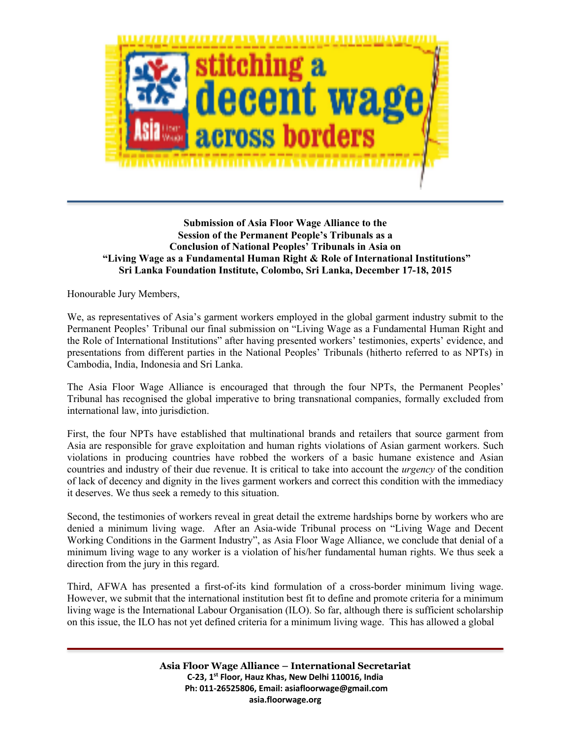

### **Submission of Asia Floor Wage Alliance to the Session of the Permanent People's Tribunals as a Conclusion of National Peoples' Tribunals in Asia on "Living Wage as a Fundamental Human Right & Role of International Institutions" Sri Lanka Foundation Institute, Colombo, Sri Lanka, December 17-18, 2015**

Honourable Jury Members,

We, as representatives of Asia's garment workers employed in the global garment industry submit to the Permanent Peoples' Tribunal our final submission on "Living Wage as a Fundamental Human Right and the Role of International Institutions" after having presented workers' testimonies, experts' evidence, and presentations from different parties in the National Peoples' Tribunals (hitherto referred to as NPTs) in Cambodia, India, Indonesia and Sri Lanka.

The Asia Floor Wage Alliance is encouraged that through the four NPTs, the Permanent Peoples' Tribunal has recognised the global imperative to bring transnational companies, formally excluded from international law, into jurisdiction.

First, the four NPTs have established that multinational brands and retailers that source garment from Asia are responsible for grave exploitation and human rights violations of Asian garment workers. Such violations in producing countries have robbed the workers of a basic humane existence and Asian countries and industry of their due revenue. It is critical to take into account the *urgency* of the condition of lack of decency and dignity in the lives garment workers and correct this condition with the immediacy it deserves. We thus seek a remedy to this situation.

Second, the testimonies of workers reveal in great detail the extreme hardships borne by workers who are denied a minimum living wage. After an Asia-wide Tribunal process on "Living Wage and Decent Working Conditions in the Garment Industry", as Asia Floor Wage Alliance, we conclude that denial of a minimum living wage to any worker is a violation of his/her fundamental human rights. We thus seek a direction from the jury in this regard.

Third, AFWA has presented a first-of-its kind formulation of a cross-border minimum living wage. However, we submit that the international institution best fit to define and promote criteria for a minimum living wage is the International Labour Organisation (ILO). So far, although there is sufficient scholarship on this issue, the ILO has not yet defined criteria for a minimum living wage. This has allowed a global

> **Asia Floor Wage Alliance – International Secretariat C-23, 1st Floor, Hauz Khas, New Delhi 110016, India Ph: 011-26525806, Email: asiafloorwage@gmail.com asia.floorwage.org**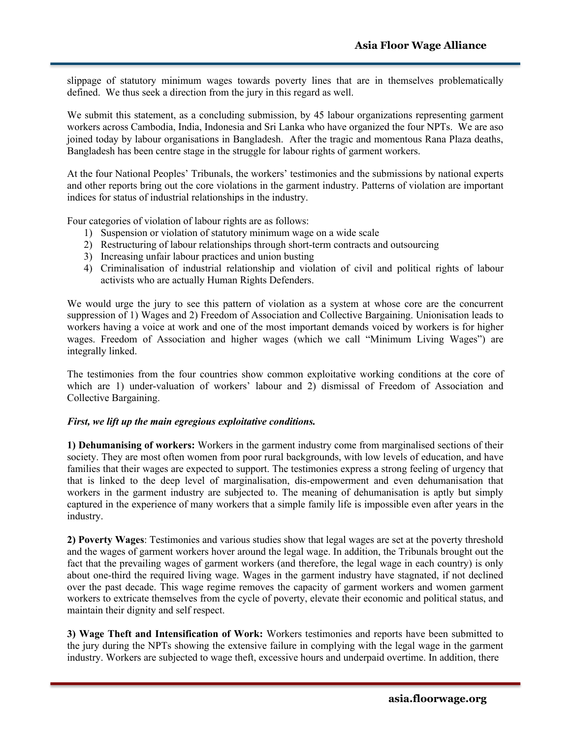slippage of statutory minimum wages towards poverty lines that are in themselves problematically defined. We thus seek a direction from the jury in this regard as well.

We submit this statement, as a concluding submission, by 45 labour organizations representing garment workers across Cambodia, India, Indonesia and Sri Lanka who have organized the four NPTs. We are aso joined today by labour organisations in Bangladesh. After the tragic and momentous Rana Plaza deaths, Bangladesh has been centre stage in the struggle for labour rights of garment workers.

At the four National Peoples' Tribunals, the workers' testimonies and the submissions by national experts and other reports bring out the core violations in the garment industry. Patterns of violation are important indices for status of industrial relationships in the industry.

Four categories of violation of labour rights are as follows:

- 1) Suspension or violation of statutory minimum wage on a wide scale
- 2) Restructuring of labour relationships through short-term contracts and outsourcing
- 3) Increasing unfair labour practices and union busting
- 4) Criminalisation of industrial relationship and violation of civil and political rights of labour activists who are actually Human Rights Defenders.

We would urge the jury to see this pattern of violation as a system at whose core are the concurrent suppression of 1) Wages and 2) Freedom of Association and Collective Bargaining. Unionisation leads to workers having a voice at work and one of the most important demands voiced by workers is for higher wages. Freedom of Association and higher wages (which we call "Minimum Living Wages") are integrally linked.

The testimonies from the four countries show common exploitative working conditions at the core of which are 1) under-valuation of workers' labour and 2) dismissal of Freedom of Association and Collective Bargaining.

#### *First, we lift up the main egregious exploitative conditions.*

**1) Dehumanising of workers:** Workers in the garment industry come from marginalised sections of their society. They are most often women from poor rural backgrounds, with low levels of education, and have families that their wages are expected to support. The testimonies express a strong feeling of urgency that that is linked to the deep level of marginalisation, dis-empowerment and even dehumanisation that workers in the garment industry are subjected to. The meaning of dehumanisation is aptly but simply captured in the experience of many workers that a simple family life is impossible even after years in the industry.

**2) Poverty Wages**: Testimonies and various studies show that legal wages are set at the poverty threshold and the wages of garment workers hover around the legal wage. In addition, the Tribunals brought out the fact that the prevailing wages of garment workers (and therefore, the legal wage in each country) is only about one-third the required living wage. Wages in the garment industry have stagnated, if not declined over the past decade. This wage regime removes the capacity of garment workers and women garment workers to extricate themselves from the cycle of poverty, elevate their economic and political status, and maintain their dignity and self respect.

**3) Wage Theft and Intensification of Work:** Workers testimonies and reports have been submitted to the jury during the NPTs showing the extensive failure in complying with the legal wage in the garment industry. Workers are subjected to wage theft, excessive hours and underpaid overtime. In addition, there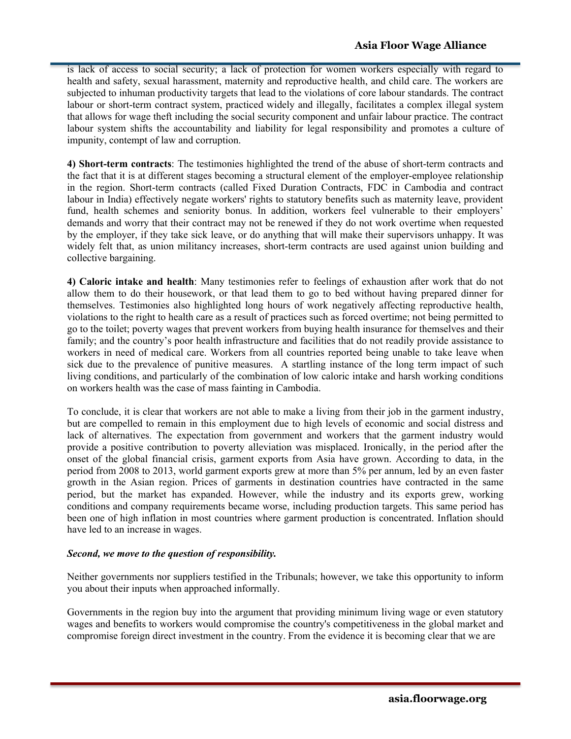is lack of access to social security; a lack of protection for women workers especially with regard to health and safety, sexual harassment, maternity and reproductive health, and child care. The workers are subjected to inhuman productivity targets that lead to the violations of core labour standards. The contract labour or short-term contract system, practiced widely and illegally, facilitates a complex illegal system that allows for wage theft including the social security component and unfair labour practice. The contract labour system shifts the accountability and liability for legal responsibility and promotes a culture of impunity, contempt of law and corruption.

**4) Short-term contracts**: The testimonies highlighted the trend of the abuse of short-term contracts and the fact that it is at different stages becoming a structural element of the employer-employee relationship in the region. Short-term contracts (called Fixed Duration Contracts, FDC in Cambodia and contract labour in India) effectively negate workers' rights to statutory benefits such as maternity leave, provident fund, health schemes and seniority bonus. In addition, workers feel vulnerable to their employers' demands and worry that their contract may not be renewed if they do not work overtime when requested by the employer, if they take sick leave, or do anything that will make their supervisors unhappy. It was widely felt that, as union militancy increases, short-term contracts are used against union building and collective bargaining.

**4) Caloric intake and health**: Many testimonies refer to feelings of exhaustion after work that do not allow them to do their housework, or that lead them to go to bed without having prepared dinner for themselves. Testimonies also highlighted long hours of work negatively affecting reproductive health, violations to the right to health care as a result of practices such as forced overtime; not being permitted to go to the toilet; poverty wages that prevent workers from buying health insurance for themselves and their family; and the country's poor health infrastructure and facilities that do not readily provide assistance to workers in need of medical care. Workers from all countries reported being unable to take leave when sick due to the prevalence of punitive measures. A startling instance of the long term impact of such living conditions, and particularly of the combination of low caloric intake and harsh working conditions on workers health was the case of mass fainting in Cambodia.

To conclude, it is clear that workers are not able to make a living from their job in the garment industry, but are compelled to remain in this employment due to high levels of economic and social distress and lack of alternatives. The expectation from government and workers that the garment industry would provide a positive contribution to poverty alleviation was misplaced. Ironically, in the period after the onset of the global financial crisis, garment exports from Asia have grown. According to data, in the period from 2008 to 2013, world garment exports grew at more than 5% per annum, led by an even faster growth in the Asian region. Prices of garments in destination countries have contracted in the same period, but the market has expanded. However, while the industry and its exports grew, working conditions and company requirements became worse, including production targets. This same period has been one of high inflation in most countries where garment production is concentrated. Inflation should have led to an increase in wages.

# *Second, we move to the question of responsibility.*

Neither governments nor suppliers testified in the Tribunals; however, we take this opportunity to inform you about their inputs when approached informally.

Governments in the region buy into the argument that providing minimum living wage or even statutory wages and benefits to workers would compromise the country's competitiveness in the global market and compromise foreign direct investment in the country. From the evidence it is becoming clear that we are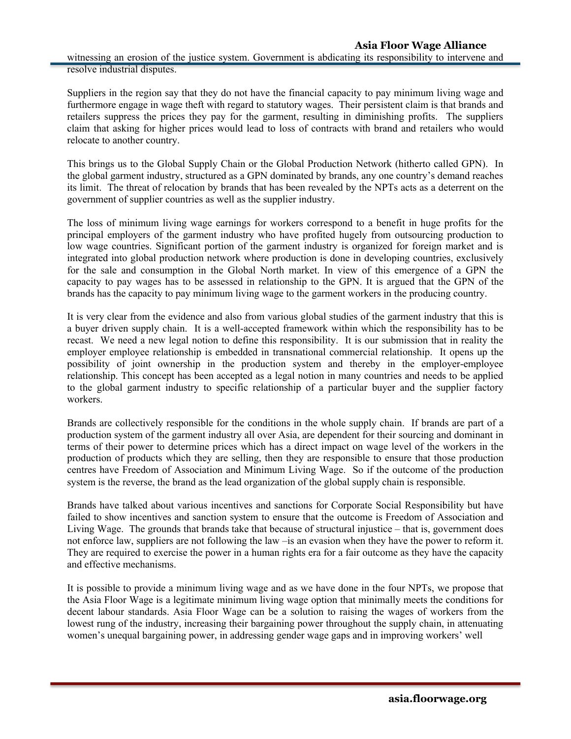Suppliers in the region say that they do not have the financial capacity to pay minimum living wage and furthermore engage in wage theft with regard to statutory wages. Their persistent claim is that brands and retailers suppress the prices they pay for the garment, resulting in diminishing profits. The suppliers claim that asking for higher prices would lead to loss of contracts with brand and retailers who would relocate to another country.

This brings us to the Global Supply Chain or the Global Production Network (hitherto called GPN). In the global garment industry, structured as a GPN dominated by brands, any one country's demand reaches its limit. The threat of relocation by brands that has been revealed by the NPTs acts as a deterrent on the government of supplier countries as well as the supplier industry.

The loss of minimum living wage earnings for workers correspond to a benefit in huge profits for the principal employers of the garment industry who have profited hugely from outsourcing production to low wage countries. Significant portion of the garment industry is organized for foreign market and is integrated into global production network where production is done in developing countries, exclusively for the sale and consumption in the Global North market. In view of this emergence of a GPN the capacity to pay wages has to be assessed in relationship to the GPN. It is argued that the GPN of the brands has the capacity to pay minimum living wage to the garment workers in the producing country.

It is very clear from the evidence and also from various global studies of the garment industry that this is a buyer driven supply chain. It is a well-accepted framework within which the responsibility has to be recast. We need a new legal notion to define this responsibility. It is our submission that in reality the employer employee relationship is embedded in transnational commercial relationship. It opens up the possibility of joint ownership in the production system and thereby in the employer-employee relationship. This concept has been accepted as a legal notion in many countries and needs to be applied to the global garment industry to specific relationship of a particular buyer and the supplier factory workers.

Brands are collectively responsible for the conditions in the whole supply chain. If brands are part of a production system of the garment industry all over Asia, are dependent for their sourcing and dominant in terms of their power to determine prices which has a direct impact on wage level of the workers in the production of products which they are selling, then they are responsible to ensure that those production centres have Freedom of Association and Minimum Living Wage. So if the outcome of the production system is the reverse, the brand as the lead organization of the global supply chain is responsible.

Brands have talked about various incentives and sanctions for Corporate Social Responsibility but have failed to show incentives and sanction system to ensure that the outcome is Freedom of Association and Living Wage. The grounds that brands take that because of structural injustice – that is, government does not enforce law, suppliers are not following the law –is an evasion when they have the power to reform it. They are required to exercise the power in a human rights era for a fair outcome as they have the capacity and effective mechanisms.

It is possible to provide a minimum living wage and as we have done in the four NPTs, we propose that the Asia Floor Wage is a legitimate minimum living wage option that minimally meets the conditions for decent labour standards. Asia Floor Wage can be a solution to raising the wages of workers from the lowest rung of the industry, increasing their bargaining power throughout the supply chain, in attenuating women's unequal bargaining power, in addressing gender wage gaps and in improving workers' well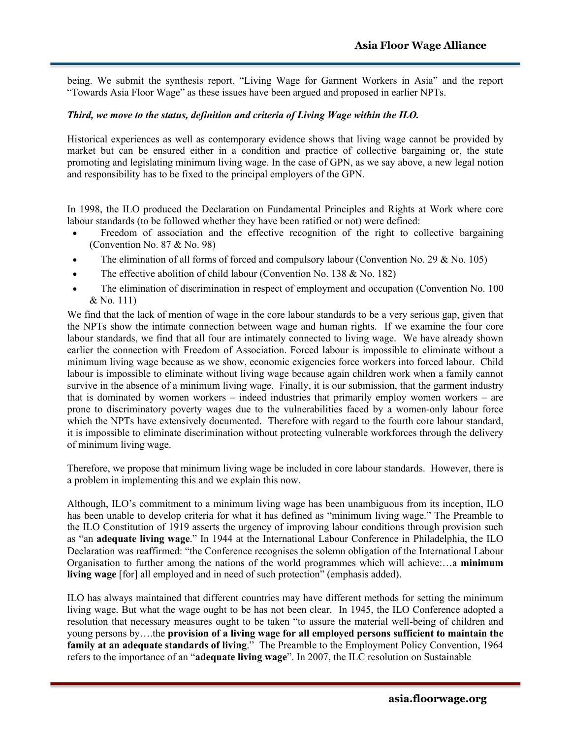being. We submit the synthesis report, "Living Wage for Garment Workers in Asia" and the report "Towards Asia Floor Wage" as these issues have been argued and proposed in earlier NPTs.

#### *Third, we move to the status, definition and criteria of Living Wage within the ILO.*

Historical experiences as well as contemporary evidence shows that living wage cannot be provided by market but can be ensured either in a condition and practice of collective bargaining or, the state promoting and legislating minimum living wage. In the case of GPN, as we say above, a new legal notion and responsibility has to be fixed to the principal employers of the GPN.

In 1998, the ILO produced the Declaration on Fundamental Principles and Rights at Work where core labour standards (to be followed whether they have been ratified or not) were defined:

- Freedom of association and the effective recognition of the right to collective bargaining (Convention No. 87 & No. 98)
- The elimination of all forms of forced and compulsory labour (Convention No. 29 & No. 105)
- The effective abolition of child labour (Convention No. 138 & No. 182)
- The elimination of discrimination in respect of employment and occupation (Convention No. 100 & No. 111)

We find that the lack of mention of wage in the core labour standards to be a very serious gap, given that the NPTs show the intimate connection between wage and human rights. If we examine the four core labour standards, we find that all four are intimately connected to living wage. We have already shown earlier the connection with Freedom of Association. Forced labour is impossible to eliminate without a minimum living wage because as we show, economic exigencies force workers into forced labour. Child labour is impossible to eliminate without living wage because again children work when a family cannot survive in the absence of a minimum living wage. Finally, it is our submission, that the garment industry that is dominated by women workers – indeed industries that primarily employ women workers – are prone to discriminatory poverty wages due to the vulnerabilities faced by a women-only labour force which the NPTs have extensively documented. Therefore with regard to the fourth core labour standard, it is impossible to eliminate discrimination without protecting vulnerable workforces through the delivery of minimum living wage.

Therefore, we propose that minimum living wage be included in core labour standards. However, there is a problem in implementing this and we explain this now.

Although, ILO's commitment to a minimum living wage has been unambiguous from its inception, ILO has been unable to develop criteria for what it has defined as "minimum living wage." The Preamble to the ILO Constitution of 1919 asserts the urgency of improving labour conditions through provision such as "an **adequate living wage**." In 1944 at the International Labour Conference in Philadelphia, the ILO Declaration was reaffirmed: "the Conference recognises the solemn obligation of the International Labour Organisation to further among the nations of the world programmes which will achieve:…a **minimum living wage** [for] all employed and in need of such protection" (emphasis added).

ILO has always maintained that different countries may have different methods for setting the minimum living wage. But what the wage ought to be has not been clear. In 1945, the ILO Conference adopted a resolution that necessary measures ought to be taken "to assure the material well-being of children and young persons by….the **provision of a living wage for all employed persons sufficient to maintain the family at an adequate standards of living**." The Preamble to the Employment Policy Convention, 1964 refers to the importance of an "**adequate living wage**". In 2007, the ILC resolution on Sustainable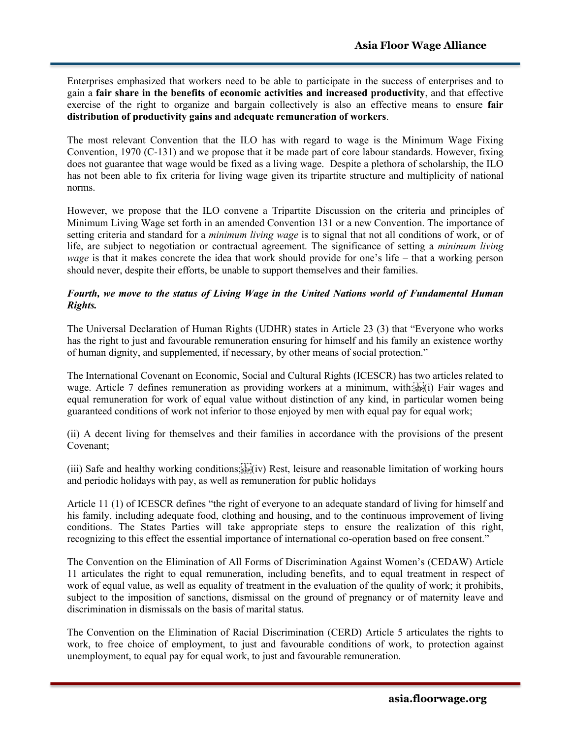Enterprises emphasized that workers need to be able to participate in the success of enterprises and to gain a **fair share in the benefits of economic activities and increased productivity**, and that effective exercise of the right to organize and bargain collectively is also an effective means to ensure **fair distribution of productivity gains and adequate remuneration of workers**.

The most relevant Convention that the ILO has with regard to wage is the Minimum Wage Fixing Convention, 1970 (C-131) and we propose that it be made part of core labour standards. However, fixing does not guarantee that wage would be fixed as a living wage. Despite a plethora of scholarship, the ILO has not been able to fix criteria for living wage given its tripartite structure and multiplicity of national norms.

However, we propose that the ILO convene a Tripartite Discussion on the criteria and principles of Minimum Living Wage set forth in an amended Convention 131 or a new Convention. The importance of setting criteria and standard for a *minimum living wage* is to signal that not all conditions of work, or of life, are subject to negotiation or contractual agreement. The significance of setting a *minimum living wage* is that it makes concrete the idea that work should provide for one's life – that a working person should never, despite their efforts, be unable to support themselves and their families.

## *Fourth, we move to the status of Living Wage in the United Nations world of Fundamental Human Rights.*

The Universal Declaration of Human Rights (UDHR) states in Article 23 (3) that "Everyone who works has the right to just and favourable remuneration ensuring for himself and his family an existence worthy of human dignity, and supplemented, if necessary, by other means of social protection."

The International Covenant on Economic, Social and Cultural Rights (ICESCR) has two articles related to wage. Article 7 defines remuneration as providing workers at a minimum, with:  $s_{\text{EP}}(i)$  Fair wages and equal remuneration for work of equal value without distinction of any kind, in particular women being guaranteed conditions of work not inferior to those enjoyed by men with equal pay for equal work;

(ii) A decent living for themselves and their families in accordance with the provisions of the present Covenant;

 $(iii)$  Safe and healthy working conditions;  $\prod_{s \in P} (iv)$  Rest, leisure and reasonable limitation of working hours and periodic holidays with pay, as well as remuneration for public holidays

Article 11 (1) of ICESCR defines "the right of everyone to an adequate standard of living for himself and his family, including adequate food, clothing and housing, and to the continuous improvement of living conditions. The States Parties will take appropriate steps to ensure the realization of this right, recognizing to this effect the essential importance of international co-operation based on free consent."

The Convention on the Elimination of All Forms of Discrimination Against Women's (CEDAW) Article 11 articulates the right to equal remuneration, including benefits, and to equal treatment in respect of work of equal value, as well as equality of treatment in the evaluation of the quality of work; it prohibits, subject to the imposition of sanctions, dismissal on the ground of pregnancy or of maternity leave and discrimination in dismissals on the basis of marital status.

The Convention on the Elimination of Racial Discrimination (CERD) Article 5 articulates the rights to work, to free choice of employment, to just and favourable conditions of work, to protection against unemployment, to equal pay for equal work, to just and favourable remuneration.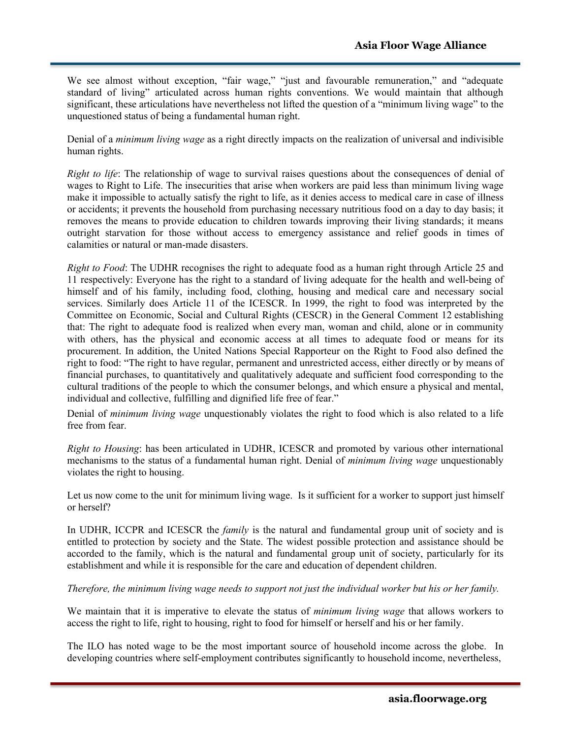We see almost without exception, "fair wage," "just and favourable remuneration," and "adequate standard of living" articulated across human rights conventions. We would maintain that although significant, these articulations have nevertheless not lifted the question of a "minimum living wage" to the unquestioned status of being a fundamental human right.

Denial of a *minimum living wage* as a right directly impacts on the realization of universal and indivisible human rights.

*Right to life*: The relationship of wage to survival raises questions about the consequences of denial of wages to Right to Life. The insecurities that arise when workers are paid less than minimum living wage make it impossible to actually satisfy the right to life, as it denies access to medical care in case of illness or accidents; it prevents the household from purchasing necessary nutritious food on a day to day basis; it removes the means to provide education to children towards improving their living standards; it means outright starvation for those without access to emergency assistance and relief goods in times of calamities or natural or man-made disasters.

*Right to Food*: The UDHR recognises the right to adequate food as a human right through Article 25 and 11 respectively: Everyone has the right to a standard of living adequate for the health and well-being of himself and of his family, including food, clothing, housing and medical care and necessary social services. Similarly does Article 11 of the ICESCR. In 1999, the right to food was interpreted by the Committee on Economic, Social and Cultural Rights (CESCR) in the General Comment 12 establishing that: The right to adequate food is realized when every man, woman and child, alone or in community with others, has the physical and economic access at all times to adequate food or means for its procurement. In addition, the United Nations Special Rapporteur on the Right to Food also defined the right to food: "The right to have regular, permanent and unrestricted access, either directly or by means of financial purchases, to quantitatively and qualitatively adequate and sufficient food corresponding to the cultural traditions of the people to which the consumer belongs, and which ensure a physical and mental, individual and collective, fulfilling and dignified life free of fear."

Denial of *minimum living wage* unquestionably violates the right to food which is also related to a life free from fear.

*Right to Housing*: has been articulated in UDHR, ICESCR and promoted by various other international mechanisms to the status of a fundamental human right. Denial of *minimum living wage* unquestionably violates the right to housing.

Let us now come to the unit for minimum living wage. Is it sufficient for a worker to support just himself or herself?

In UDHR, ICCPR and ICESCR the *family* is the natural and fundamental group unit of society and is entitled to protection by society and the State. The widest possible protection and assistance should be accorded to the family, which is the natural and fundamental group unit of society, particularly for its establishment and while it is responsible for the care and education of dependent children.

#### *Therefore, the minimum living wage needs to support not just the individual worker but his or her family.*

We maintain that it is imperative to elevate the status of *minimum living wage* that allows workers to access the right to life, right to housing, right to food for himself or herself and his or her family.

The ILO has noted wage to be the most important source of household income across the globe. In developing countries where self-employment contributes significantly to household income, nevertheless,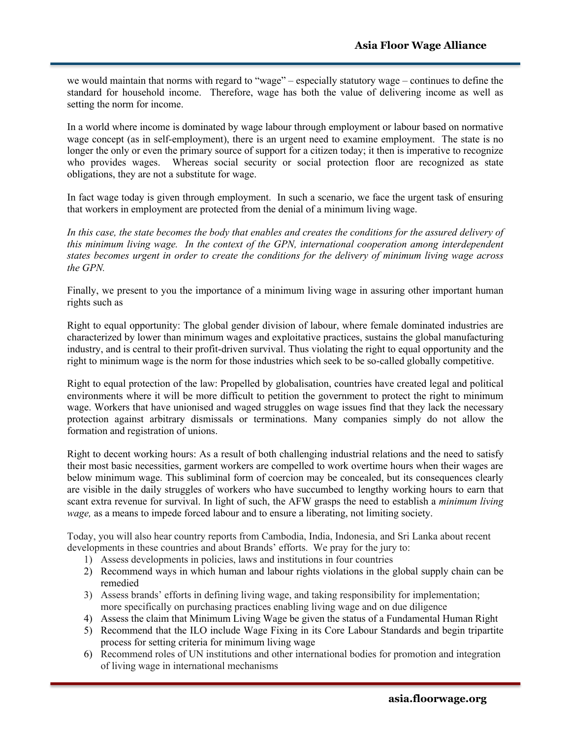we would maintain that norms with regard to "wage" – especially statutory wage – continues to define the standard for household income. Therefore, wage has both the value of delivering income as well as setting the norm for income.

In a world where income is dominated by wage labour through employment or labour based on normative wage concept (as in self-employment), there is an urgent need to examine employment. The state is no longer the only or even the primary source of support for a citizen today; it then is imperative to recognize who provides wages. Whereas social security or social protection floor are recognized as state obligations, they are not a substitute for wage.

In fact wage today is given through employment. In such a scenario, we face the urgent task of ensuring that workers in employment are protected from the denial of a minimum living wage.

*In this case, the state becomes the body that enables and creates the conditions for the assured delivery of this minimum living wage. In the context of the GPN, international cooperation among interdependent states becomes urgent in order to create the conditions for the delivery of minimum living wage across the GPN.*

Finally, we present to you the importance of a minimum living wage in assuring other important human rights such as

Right to equal opportunity: The global gender division of labour, where female dominated industries are characterized by lower than minimum wages and exploitative practices, sustains the global manufacturing industry, and is central to their profit-driven survival. Thus violating the right to equal opportunity and the right to minimum wage is the norm for those industries which seek to be so-called globally competitive.

Right to equal protection of the law: Propelled by globalisation, countries have created legal and political environments where it will be more difficult to petition the government to protect the right to minimum wage. Workers that have unionised and waged struggles on wage issues find that they lack the necessary protection against arbitrary dismissals or terminations. Many companies simply do not allow the formation and registration of unions.

Right to decent working hours: As a result of both challenging industrial relations and the need to satisfy their most basic necessities, garment workers are compelled to work overtime hours when their wages are below minimum wage. This subliminal form of coercion may be concealed, but its consequences clearly are visible in the daily struggles of workers who have succumbed to lengthy working hours to earn that scant extra revenue for survival. In light of such, the AFW grasps the need to establish a *minimum living wage,* as a means to impede forced labour and to ensure a liberating, not limiting society.

Today, you will also hear country reports from Cambodia, India, Indonesia, and Sri Lanka about recent developments in these countries and about Brands' efforts. We pray for the jury to:

- 1) Assess developments in policies, laws and institutions in four countries
- 2) Recommend ways in which human and labour rights violations in the global supply chain can be remedied
- 3) Assess brands' efforts in defining living wage, and taking responsibility for implementation; more specifically on purchasing practices enabling living wage and on due diligence
- 4) Assess the claim that Minimum Living Wage be given the status of a Fundamental Human Right
- 5) Recommend that the ILO include Wage Fixing in its Core Labour Standards and begin tripartite process for setting criteria for minimum living wage
- 6) Recommend roles of UN institutions and other international bodies for promotion and integration of living wage in international mechanisms